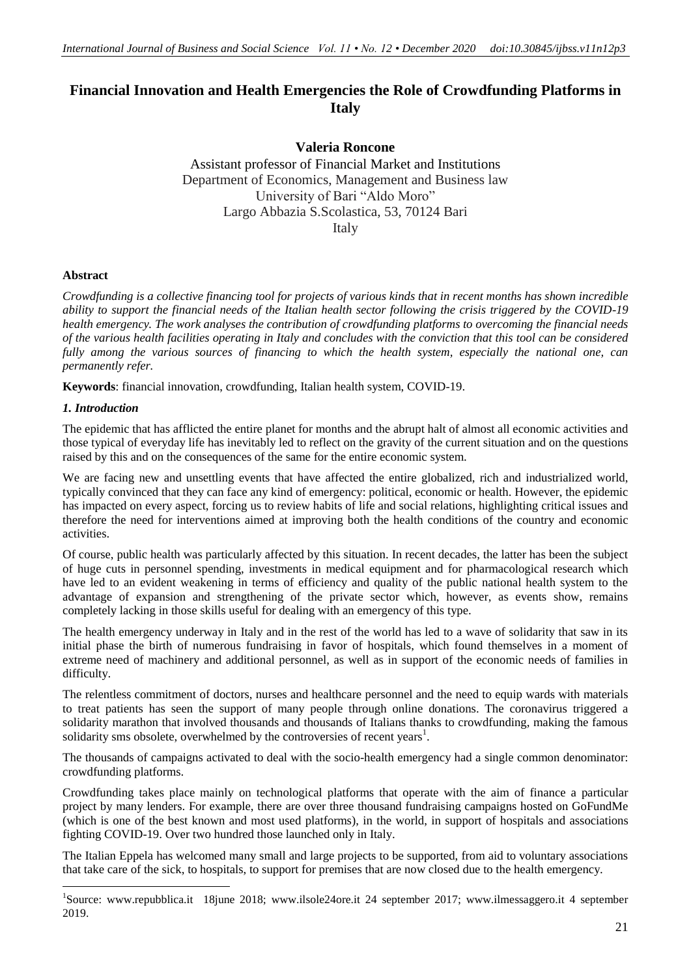# **Financial Innovation and Health Emergencies the Role of Crowdfunding Platforms in Italy**

# **Valeria Roncone**

Assistant professor of Financial Market and Institutions Department of Economics, Management and Business law University of Bari "Aldo Moro" Largo Abbazia S.Scolastica, 53, 70124 Bari Italy

## **Abstract**

*Crowdfunding is a collective financing tool for projects of various kinds that in recent months has shown incredible ability to support the financial needs of the Italian health sector following the crisis triggered by the COVID-19 health emergency. The work analyses the contribution of crowdfunding platforms to overcoming the financial needs of the various health facilities operating in Italy and concludes with the conviction that this tool can be considered fully among the various sources of financing to which the health system, especially the national one, can permanently refer.*

**Keywords**: financial innovation, crowdfunding, Italian health system, COVID-19.

## *1. Introduction*

1

The epidemic that has afflicted the entire planet for months and the abrupt halt of almost all economic activities and those typical of everyday life has inevitably led to reflect on the gravity of the current situation and on the questions raised by this and on the consequences of the same for the entire economic system.

We are facing new and unsettling events that have affected the entire globalized, rich and industrialized world, typically convinced that they can face any kind of emergency: political, economic or health. However, the epidemic has impacted on every aspect, forcing us to review habits of life and social relations, highlighting critical issues and therefore the need for interventions aimed at improving both the health conditions of the country and economic activities.

Of course, public health was particularly affected by this situation. In recent decades, the latter has been the subject of huge cuts in personnel spending, investments in medical equipment and for pharmacological research which have led to an evident weakening in terms of efficiency and quality of the public national health system to the advantage of expansion and strengthening of the private sector which, however, as events show, remains completely lacking in those skills useful for dealing with an emergency of this type.

The health emergency underway in Italy and in the rest of the world has led to a wave of solidarity that saw in its initial phase the birth of numerous fundraising in favor of hospitals, which found themselves in a moment of extreme need of machinery and additional personnel, as well as in support of the economic needs of families in difficulty.

The relentless commitment of doctors, nurses and healthcare personnel and the need to equip wards with materials to treat patients has seen the support of many people through online donations. The coronavirus triggered a solidarity marathon that involved thousands and thousands of Italians thanks to crowdfunding, making the famous solidarity sms obsolete, overwhelmed by the controversies of recent years<sup>1</sup>.

The thousands of campaigns activated to deal with the socio-health emergency had a single common denominator: crowdfunding platforms.

Crowdfunding takes place mainly on technological platforms that operate with the aim of finance a particular project by many lenders. For example, there are over three thousand fundraising campaigns hosted on GoFundMe (which is one of the best known and most used platforms), in the world, in support of hospitals and associations fighting COVID-19. Over two hundred those launched only in Italy.

The Italian Eppela has welcomed many small and large projects to be supported, from aid to voluntary associations that take care of the sick, to hospitals, to support for premises that are now closed due to the health emergency.

<sup>&</sup>lt;sup>1</sup>Source: www.repubblica.it 18june 2018; www.ilsole24ore.it 24 september 2017; www.ilmessaggero.it 4 september 2019.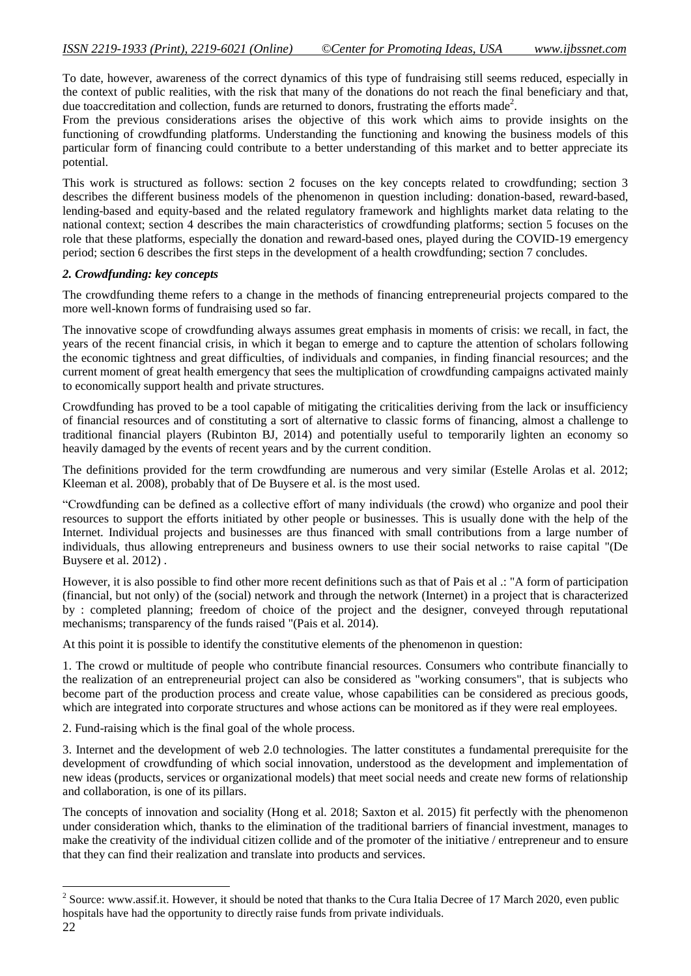To date, however, awareness of the correct dynamics of this type of fundraising still seems reduced, especially in the context of public realities, with the risk that many of the donations do not reach the final beneficiary and that, due toaccreditation and collection, funds are returned to donors, frustrating the efforts made<sup>2</sup>.

From the previous considerations arises the objective of this work which aims to provide insights on the functioning of crowdfunding platforms. Understanding the functioning and knowing the business models of this particular form of financing could contribute to a better understanding of this market and to better appreciate its potential.

This work is structured as follows: section 2 focuses on the key concepts related to crowdfunding; section 3 describes the different business models of the phenomenon in question including: donation-based, reward-based, lending-based and equity-based and the related regulatory framework and highlights market data relating to the national context; section 4 describes the main characteristics of crowdfunding platforms; section 5 focuses on the role that these platforms, especially the donation and reward-based ones, played during the COVID-19 emergency period; section 6 describes the first steps in the development of a health crowdfunding; section 7 concludes.

## *2. Crowdfunding: key concepts*

The crowdfunding theme refers to a change in the methods of financing entrepreneurial projects compared to the more well-known forms of fundraising used so far.

The innovative scope of crowdfunding always assumes great emphasis in moments of crisis: we recall, in fact, the years of the recent financial crisis, in which it began to emerge and to capture the attention of scholars following the economic tightness and great difficulties, of individuals and companies, in finding financial resources; and the current moment of great health emergency that sees the multiplication of crowdfunding campaigns activated mainly to economically support health and private structures.

Crowdfunding has proved to be a tool capable of mitigating the criticalities deriving from the lack or insufficiency of financial resources and of constituting a sort of alternative to classic forms of financing, almost a challenge to traditional financial players (Rubinton BJ, 2014) and potentially useful to temporarily lighten an economy so heavily damaged by the events of recent years and by the current condition.

The definitions provided for the term crowdfunding are numerous and very similar (Estelle Arolas et al. 2012; Kleeman et al. 2008), probably that of De Buysere et al. is the most used.

"Crowdfunding can be defined as a collective effort of many individuals (the crowd) who organize and pool their resources to support the efforts initiated by other people or businesses. This is usually done with the help of the Internet. Individual projects and businesses are thus financed with small contributions from a large number of individuals, thus allowing entrepreneurs and business owners to use their social networks to raise capital "(De Buysere et al. 2012) .

However, it is also possible to find other more recent definitions such as that of Pais et al .: "A form of participation (financial, but not only) of the (social) network and through the network (Internet) in a project that is characterized by : completed planning; freedom of choice of the project and the designer, conveyed through reputational mechanisms; transparency of the funds raised "(Pais et al. 2014).

At this point it is possible to identify the constitutive elements of the phenomenon in question:

1. The crowd or multitude of people who contribute financial resources. Consumers who contribute financially to the realization of an entrepreneurial project can also be considered as "working consumers", that is subjects who become part of the production process and create value, whose capabilities can be considered as precious goods, which are integrated into corporate structures and whose actions can be monitored as if they were real employees.

2. Fund-raising which is the final goal of the whole process.

3. Internet and the development of web 2.0 technologies. The latter constitutes a fundamental prerequisite for the development of crowdfunding of which social innovation, understood as the development and implementation of new ideas (products, services or organizational models) that meet social needs and create new forms of relationship and collaboration, is one of its pillars.

The concepts of innovation and sociality (Hong et al. 2018; Saxton et al. 2015) fit perfectly with the phenomenon under consideration which, thanks to the elimination of the traditional barriers of financial investment, manages to make the creativity of the individual citizen collide and of the promoter of the initiative / entrepreneur and to ensure that they can find their realization and translate into products and services.

1

<sup>&</sup>lt;sup>2</sup> Source: www.assif.it. However, it should be noted that thanks to the Cura Italia Decree of 17 March 2020, even public hospitals have had the opportunity to directly raise funds from private individuals.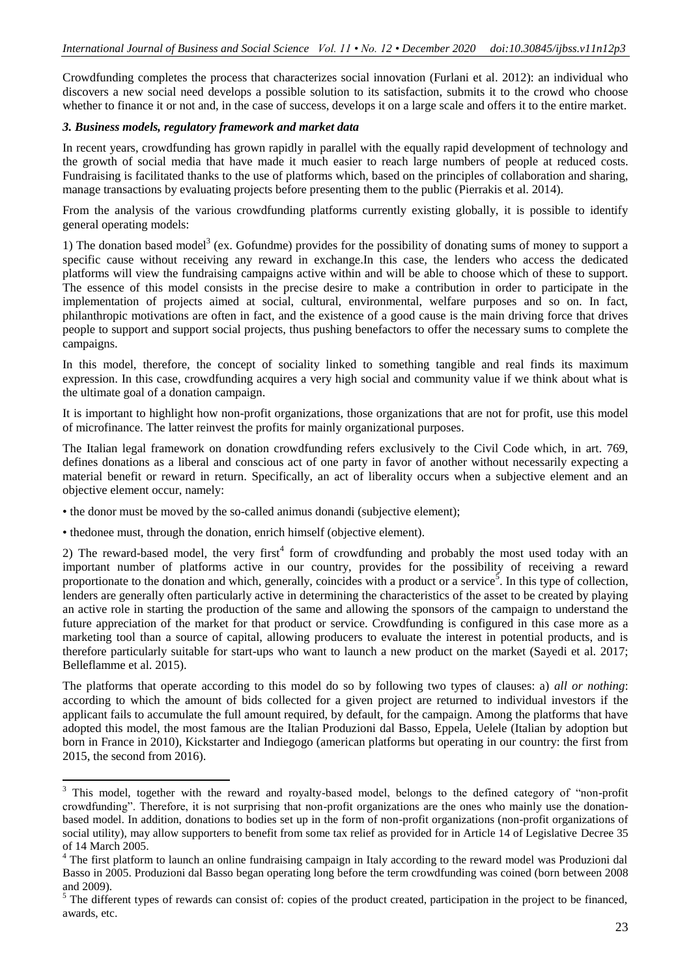Crowdfunding completes the process that characterizes social innovation (Furlani et al. 2012): an individual who discovers a new social need develops a possible solution to its satisfaction, submits it to the crowd who choose whether to finance it or not and, in the case of success, develops it on a large scale and offers it to the entire market.

#### *3. Business models, regulatory framework and market data*

In recent years, crowdfunding has grown rapidly in parallel with the equally rapid development of technology and the growth of social media that have made it much easier to reach large numbers of people at reduced costs. Fundraising is facilitated thanks to the use of platforms which, based on the principles of collaboration and sharing, manage transactions by evaluating projects before presenting them to the public (Pierrakis et al. 2014).

From the analysis of the various crowdfunding platforms currently existing globally, it is possible to identify general operating models:

1) The donation based model<sup>3</sup> (ex. Gofundme) provides for the possibility of donating sums of money to support a specific cause without receiving any reward in exchange.In this case, the lenders who access the dedicated platforms will view the fundraising campaigns active within and will be able to choose which of these to support. The essence of this model consists in the precise desire to make a contribution in order to participate in the implementation of projects aimed at social, cultural, environmental, welfare purposes and so on. In fact, philanthropic motivations are often in fact, and the existence of a good cause is the main driving force that drives people to support and support social projects, thus pushing benefactors to offer the necessary sums to complete the campaigns.

In this model, therefore, the concept of sociality linked to something tangible and real finds its maximum expression. In this case, crowdfunding acquires a very high social and community value if we think about what is the ultimate goal of a donation campaign.

It is important to highlight how non-profit organizations, those organizations that are not for profit, use this model of microfinance. The latter reinvest the profits for mainly organizational purposes.

The Italian legal framework on donation crowdfunding refers exclusively to the Civil Code which, in art. 769, defines donations as a liberal and conscious act of one party in favor of another without necessarily expecting a material benefit or reward in return. Specifically, an act of liberality occurs when a subjective element and an objective element occur, namely:

• the donor must be moved by the so-called animus donandi (subjective element);

• thedonee must, through the donation, enrich himself (objective element).

1

2) The reward-based model, the very first<sup>4</sup> form of crowdfunding and probably the most used today with an important number of platforms active in our country, provides for the possibility of receiving a reward proportionate to the donation and which, generally, coincides with a product or a service<sup>5</sup>. In this type of collection, lenders are generally often particularly active in determining the characteristics of the asset to be created by playing an active role in starting the production of the same and allowing the sponsors of the campaign to understand the future appreciation of the market for that product or service. Crowdfunding is configured in this case more as a marketing tool than a source of capital, allowing producers to evaluate the interest in potential products, and is therefore particularly suitable for start-ups who want to launch a new product on the market (Sayedi et al. 2017; Belleflamme et al. 2015).

The platforms that operate according to this model do so by following two types of clauses: a) *all or nothing*: according to which the amount of bids collected for a given project are returned to individual investors if the applicant fails to accumulate the full amount required, by default, for the campaign. Among the platforms that have adopted this model, the most famous are the Italian Produzioni dal Basso, Eppela, Uelele (Italian by adoption but born in France in 2010), Kickstarter and Indiegogo (american platforms but operating in our country: the first from 2015, the second from 2016).

<sup>&</sup>lt;sup>3</sup> This model, together with the reward and royalty-based model, belongs to the defined category of "non-profit crowdfunding". Therefore, it is not surprising that non-profit organizations are the ones who mainly use the donationbased model. In addition, donations to bodies set up in the form of non-profit organizations (non-profit organizations of social utility), may allow supporters to benefit from some tax relief as provided for in Article 14 of Legislative Decree 35 of 14 March 2005.

<sup>&</sup>lt;sup>4</sup> The first platform to launch an online fundraising campaign in Italy according to the reward model was Produzioni dal Basso in 2005. Produzioni dal Basso began operating long before the term crowdfunding was coined (born between 2008 and 2009).

<sup>&</sup>lt;sup>5</sup> The different types of rewards can consist of: copies of the product created, participation in the project to be financed, awards, etc.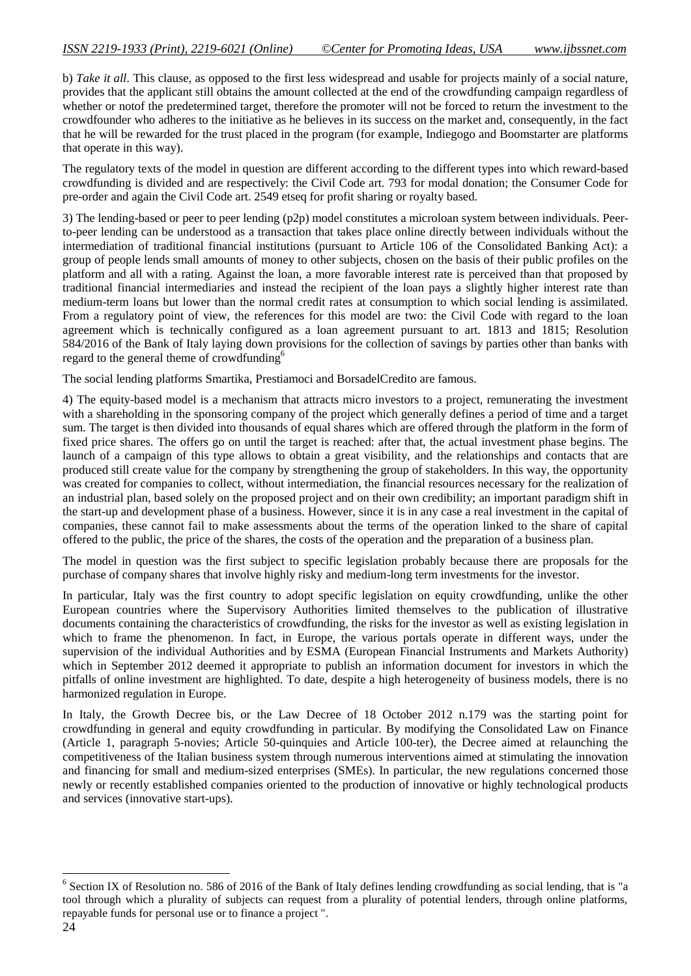b) *Take it all*. This clause, as opposed to the first less widespread and usable for projects mainly of a social nature, provides that the applicant still obtains the amount collected at the end of the crowdfunding campaign regardless of whether or notof the predetermined target, therefore the promoter will not be forced to return the investment to the crowdfounder who adheres to the initiative as he believes in its success on the market and, consequently, in the fact that he will be rewarded for the trust placed in the program (for example, Indiegogo and Boomstarter are platforms that operate in this way).

The regulatory texts of the model in question are different according to the different types into which reward-based crowdfunding is divided and are respectively: the Civil Code art. 793 for modal donation; the Consumer Code for pre-order and again the Civil Code art. 2549 etseq for profit sharing or royalty based.

3) The lending-based or peer to peer lending (p2p) model constitutes a microloan system between individuals. Peerto-peer lending can be understood as a transaction that takes place online directly between individuals without the intermediation of traditional financial institutions (pursuant to Article 106 of the Consolidated Banking Act): a group of people lends small amounts of money to other subjects, chosen on the basis of their public profiles on the platform and all with a rating. Against the loan, a more favorable interest rate is perceived than that proposed by traditional financial intermediaries and instead the recipient of the loan pays a slightly higher interest rate than medium-term loans but lower than the normal credit rates at consumption to which social lending is assimilated. From a regulatory point of view, the references for this model are two: the Civil Code with regard to the loan agreement which is technically configured as a loan agreement pursuant to art. 1813 and 1815; Resolution 584/2016 of the Bank of Italy laying down provisions for the collection of savings by parties other than banks with regard to the general theme of crowdfunding<sup>6</sup>

The social lending platforms Smartika, Prestiamoci and BorsadelCredito are famous.

4) The equity-based model is a mechanism that attracts micro investors to a project, remunerating the investment with a shareholding in the sponsoring company of the project which generally defines a period of time and a target sum. The target is then divided into thousands of equal shares which are offered through the platform in the form of fixed price shares. The offers go on until the target is reached: after that, the actual investment phase begins. The launch of a campaign of this type allows to obtain a great visibility, and the relationships and contacts that are produced still create value for the company by strengthening the group of stakeholders. In this way, the opportunity was created for companies to collect, without intermediation, the financial resources necessary for the realization of an industrial plan, based solely on the proposed project and on their own credibility; an important paradigm shift in the start-up and development phase of a business. However, since it is in any case a real investment in the capital of companies, these cannot fail to make assessments about the terms of the operation linked to the share of capital offered to the public, the price of the shares, the costs of the operation and the preparation of a business plan.

The model in question was the first subject to specific legislation probably because there are proposals for the purchase of company shares that involve highly risky and medium-long term investments for the investor.

In particular, Italy was the first country to adopt specific legislation on equity crowdfunding, unlike the other European countries where the Supervisory Authorities limited themselves to the publication of illustrative documents containing the characteristics of crowdfunding, the risks for the investor as well as existing legislation in which to frame the phenomenon. In fact, in Europe, the various portals operate in different ways, under the supervision of the individual Authorities and by ESMA (European Financial Instruments and Markets Authority) which in September 2012 deemed it appropriate to publish an information document for investors in which the pitfalls of online investment are highlighted. To date, despite a high heterogeneity of business models, there is no harmonized regulation in Europe.

In Italy, the Growth Decree bis, or the Law Decree of 18 October 2012 n.179 was the starting point for crowdfunding in general and equity crowdfunding in particular. By modifying the Consolidated Law on Finance (Article 1, paragraph 5-novies; Article 50-quinquies and Article 100-ter), the Decree aimed at relaunching the competitiveness of the Italian business system through numerous interventions aimed at stimulating the innovation and financing for small and medium-sized enterprises (SMEs). In particular, the new regulations concerned those newly or recently established companies oriented to the production of innovative or highly technological products and services (innovative start-ups).

The Section IX of Resolution no. 586 of 2016 of the Bank of Italy defines lending crowdfunding as social lending, that is "a tool through which a plurality of subjects can request from a plurality of potential lenders, through online platforms, repayable funds for personal use or to finance a project ".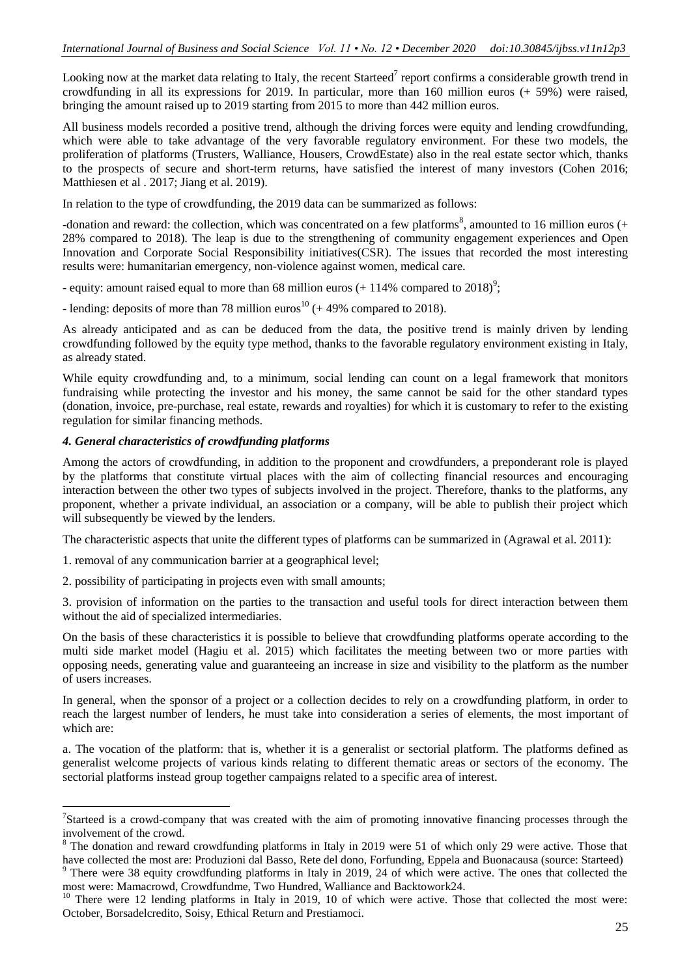Looking now at the market data relating to Italy, the recent Starteed<sup>7</sup> report confirms a considerable growth trend in crowdfunding in all its expressions for 2019. In particular, more than 160 million euros (+ 59%) were raised, bringing the amount raised up to 2019 starting from 2015 to more than 442 million euros.

All business models recorded a positive trend, although the driving forces were equity and lending crowdfunding, which were able to take advantage of the very favorable regulatory environment. For these two models, the proliferation of platforms (Trusters, Walliance, Housers, CrowdEstate) also in the real estate sector which, thanks to the prospects of secure and short-term returns, have satisfied the interest of many investors (Cohen 2016; Matthiesen et al . 2017; Jiang et al. 2019).

In relation to the type of crowdfunding, the 2019 data can be summarized as follows:

-donation and reward: the collection, which was concentrated on a few platforms<sup>8</sup>, amounted to 16 million euros  $(+)$ 28% compared to 2018). The leap is due to the strengthening of community engagement experiences and Open Innovation and Corporate Social Responsibility initiatives(CSR). The issues that recorded the most interesting results were: humanitarian emergency, non-violence against women, medical care.

- equity: amount raised equal to more than 68 million euros  $(+ 114\%$  compared to 2018)<sup>9</sup>;

- lending: deposits of more than 78 million euros<sup>10</sup> ( $+$  49% compared to 2018).

As already anticipated and as can be deduced from the data, the positive trend is mainly driven by lending crowdfunding followed by the equity type method, thanks to the favorable regulatory environment existing in Italy, as already stated.

While equity crowdfunding and, to a minimum, social lending can count on a legal framework that monitors fundraising while protecting the investor and his money, the same cannot be said for the other standard types (donation, invoice, pre-purchase, real estate, rewards and royalties) for which it is customary to refer to the existing regulation for similar financing methods.

## *4. General characteristics of crowdfunding platforms*

1

Among the actors of crowdfunding, in addition to the proponent and crowdfunders, a preponderant role is played by the platforms that constitute virtual places with the aim of collecting financial resources and encouraging interaction between the other two types of subjects involved in the project. Therefore, thanks to the platforms, any proponent, whether a private individual, an association or a company, will be able to publish their project which will subsequently be viewed by the lenders.

The characteristic aspects that unite the different types of platforms can be summarized in (Agrawal et al. 2011):

1. removal of any communication barrier at a geographical level;

2. possibility of participating in projects even with small amounts;

3. provision of information on the parties to the transaction and useful tools for direct interaction between them without the aid of specialized intermediaries.

On the basis of these characteristics it is possible to believe that crowdfunding platforms operate according to the multi side market model (Hagiu et al. 2015) which facilitates the meeting between two or more parties with opposing needs, generating value and guaranteeing an increase in size and visibility to the platform as the number of users increases.

In general, when the sponsor of a project or a collection decides to rely on a crowdfunding platform, in order to reach the largest number of lenders, he must take into consideration a series of elements, the most important of which are:

a. The vocation of the platform: that is, whether it is a generalist or sectorial platform. The platforms defined as generalist welcome projects of various kinds relating to different thematic areas or sectors of the economy. The sectorial platforms instead group together campaigns related to a specific area of interest.

<sup>&</sup>lt;sup>7</sup>Starteed is a crowd-company that was created with the aim of promoting innovative financing processes through the involvement of the crowd.

<sup>&</sup>lt;sup>8</sup> The donation and reward crowdfunding platforms in Italy in 2019 were 51 of which only 29 were active. Those that have collected the most are: Produzioni dal Basso, Rete del dono, Forfunding, Eppela and Buonacausa (source: Starteed) <sup>9</sup> There were 38 equity crowdfunding platforms in Italy in 2019, 24 of which were active. The ones that collected the

most were: Mamacrowd, Crowdfundme, Two Hundred, Walliance and Backtowork24.

 $10$  There were 12 lending platforms in Italy in 2019, 10 of which were active. Those that collected the most were: October, Borsadelcredito, Soisy, Ethical Return and Prestiamoci.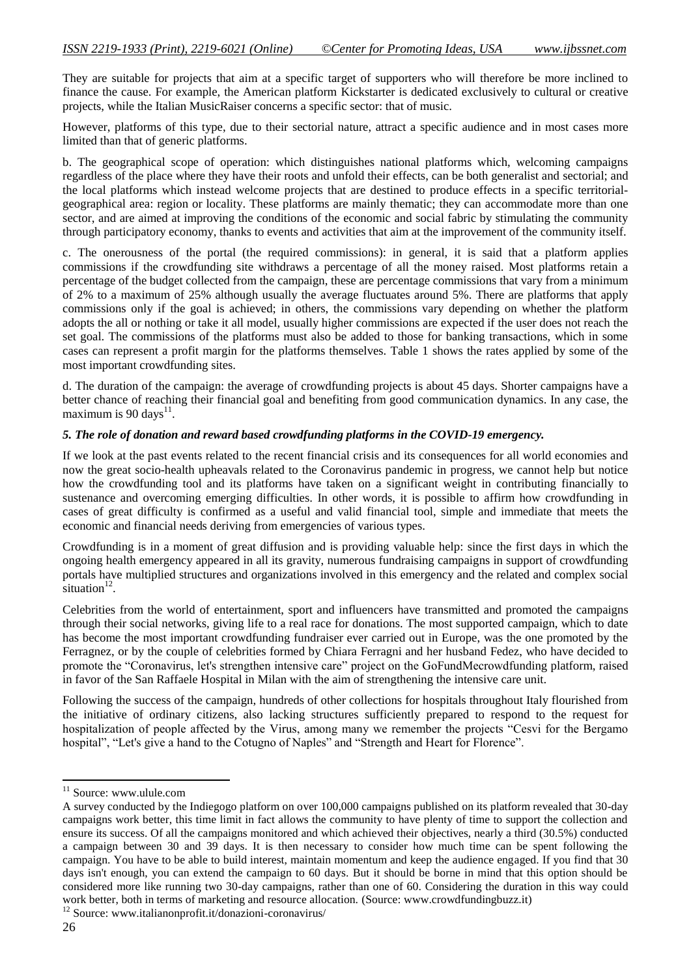They are suitable for projects that aim at a specific target of supporters who will therefore be more inclined to finance the cause. For example, the American platform Kickstarter is dedicated exclusively to cultural or creative projects, while the Italian MusicRaiser concerns a specific sector: that of music.

However, platforms of this type, due to their sectorial nature, attract a specific audience and in most cases more limited than that of generic platforms.

b. The geographical scope of operation: which distinguishes national platforms which, welcoming campaigns regardless of the place where they have their roots and unfold their effects, can be both generalist and sectorial; and the local platforms which instead welcome projects that are destined to produce effects in a specific territorialgeographical area: region or locality. These platforms are mainly thematic; they can accommodate more than one sector, and are aimed at improving the conditions of the economic and social fabric by stimulating the community through participatory economy, thanks to events and activities that aim at the improvement of the community itself.

c. The onerousness of the portal (the required commissions): in general, it is said that a platform applies commissions if the crowdfunding site withdraws a percentage of all the money raised. Most platforms retain a percentage of the budget collected from the campaign, these are percentage commissions that vary from a minimum of 2% to a maximum of 25% although usually the average fluctuates around 5%. There are platforms that apply commissions only if the goal is achieved; in others, the commissions vary depending on whether the platform adopts the all or nothing or take it all model, usually higher commissions are expected if the user does not reach the set goal. The commissions of the platforms must also be added to those for banking transactions, which in some cases can represent a profit margin for the platforms themselves. Table 1 shows the rates applied by some of the most important crowdfunding sites.

d. The duration of the campaign: the average of crowdfunding projects is about 45 days. Shorter campaigns have a better chance of reaching their financial goal and benefiting from good communication dynamics. In any case, the maximum is 90 days $11$ .

#### *5. The role of donation and reward based crowdfunding platforms in the COVID-19 emergency.*

If we look at the past events related to the recent financial crisis and its consequences for all world economies and now the great socio-health upheavals related to the Coronavirus pandemic in progress, we cannot help but notice how the crowdfunding tool and its platforms have taken on a significant weight in contributing financially to sustenance and overcoming emerging difficulties. In other words, it is possible to affirm how crowdfunding in cases of great difficulty is confirmed as a useful and valid financial tool, simple and immediate that meets the economic and financial needs deriving from emergencies of various types.

Crowdfunding is in a moment of great diffusion and is providing valuable help: since the first days in which the ongoing health emergency appeared in all its gravity, numerous fundraising campaigns in support of crowdfunding portals have multiplied structures and organizations involved in this emergency and the related and complex social  $\sin$ ituation<sup>12</sup>.

Celebrities from the world of entertainment, sport and influencers have transmitted and promoted the campaigns through their social networks, giving life to a real race for donations. The most supported campaign, which to date has become the most important crowdfunding fundraiser ever carried out in Europe, was the one promoted by the Ferragnez, or by the couple of celebrities formed by Chiara Ferragni and her husband Fedez, who have decided to promote the "Coronavirus, let's strengthen intensive care" project on the GoFundMecrowdfunding platform, raised in favor of the San Raffaele Hospital in Milan with the aim of strengthening the intensive care unit.

Following the success of the campaign, hundreds of other collections for hospitals throughout Italy flourished from the initiative of ordinary citizens, also lacking structures sufficiently prepared to respond to the request for hospitalization of people affected by the Virus, among many we remember the projects "Cesvi for the Bergamo hospital", "Let's give a hand to the Cotugno of Naples" and "Strength and Heart for Florence".

1

<sup>&</sup>lt;sup>11</sup> Source: www.ulule.com

A survey conducted by the Indiegogo platform on over 100,000 campaigns published on its platform revealed that 30-day campaigns work better, this time limit in fact allows the community to have plenty of time to support the collection and ensure its success. Of all the campaigns monitored and which achieved their objectives, nearly a third (30.5%) conducted a campaign between 30 and 39 days. It is then necessary to consider how much time can be spent following the campaign. You have to be able to build interest, maintain momentum and keep the audience engaged. If you find that 30 days isn't enough, you can extend the campaign to 60 days. But it should be borne in mind that this option should be considered more like running two 30-day campaigns, rather than one of 60. Considering the duration in this way could work better, both in terms of marketing and resource allocation. (Source: www.crowdfundingbuzz.it)

<sup>12</sup> Source: www.italianonprofit.it/donazioni-coronavirus/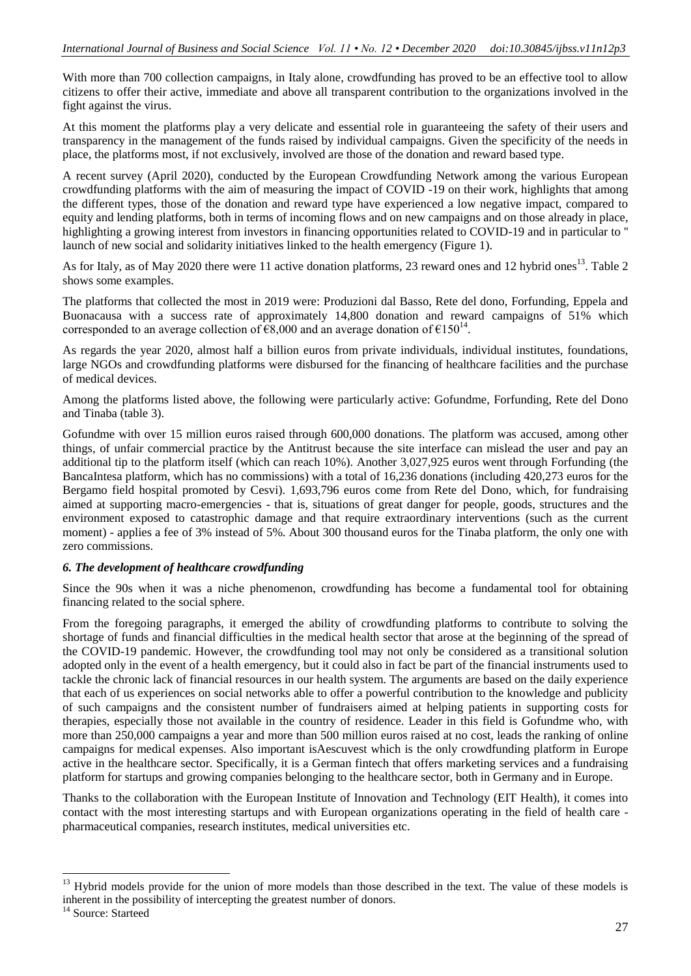With more than 700 collection campaigns, in Italy alone, crowdfunding has proved to be an effective tool to allow citizens to offer their active, immediate and above all transparent contribution to the organizations involved in the fight against the virus.

At this moment the platforms play a very delicate and essential role in guaranteeing the safety of their users and transparency in the management of the funds raised by individual campaigns. Given the specificity of the needs in place, the platforms most, if not exclusively, involved are those of the donation and reward based type.

A recent survey (April 2020), conducted by the European Crowdfunding Network among the various European crowdfunding platforms with the aim of measuring the impact of COVID -19 on their work, highlights that among the different types, those of the donation and reward type have experienced a low negative impact, compared to equity and lending platforms, both in terms of incoming flows and on new campaigns and on those already in place, highlighting a growing interest from investors in financing opportunities related to COVID-19 and in particular to '' launch of new social and solidarity initiatives linked to the health emergency (Figure 1).

As for Italy, as of May 2020 there were 11 active donation platforms, 23 reward ones and 12 hybrid ones<sup>13</sup>. Table 2 shows some examples.

The platforms that collected the most in 2019 were: Produzioni dal Basso, Rete del dono, Forfunding, Eppela and Buonacausa with a success rate of approximately 14,800 donation and reward campaigns of 51% which corresponded to an average collection of  $\epsilon 8,000$  and an average donation of  $\epsilon 150^{14}$ .

As regards the year 2020, almost half a billion euros from private individuals, individual institutes, foundations, large NGOs and crowdfunding platforms were disbursed for the financing of healthcare facilities and the purchase of medical devices.

Among the platforms listed above, the following were particularly active: Gofundme, Forfunding, Rete del Dono and Tinaba (table 3).

Gofundme with over 15 million euros raised through 600,000 donations. The platform was accused, among other things, of unfair commercial practice by the Antitrust because the site interface can mislead the user and pay an additional tip to the platform itself (which can reach 10%). Another 3,027,925 euros went through Forfunding (the BancaIntesa platform, which has no commissions) with a total of 16,236 donations (including 420,273 euros for the Bergamo field hospital promoted by Cesvi). 1,693,796 euros come from Rete del Dono, which, for fundraising aimed at supporting macro-emergencies - that is, situations of great danger for people, goods, structures and the environment exposed to catastrophic damage and that require extraordinary interventions (such as the current moment) - applies a fee of 3% instead of 5%. About 300 thousand euros for the Tinaba platform, the only one with zero commissions.

## *6. The development of healthcare crowdfunding*

Since the 90s when it was a niche phenomenon, crowdfunding has become a fundamental tool for obtaining financing related to the social sphere.

From the foregoing paragraphs, it emerged the ability of crowdfunding platforms to contribute to solving the shortage of funds and financial difficulties in the medical health sector that arose at the beginning of the spread of the COVID-19 pandemic. However, the crowdfunding tool may not only be considered as a transitional solution adopted only in the event of a health emergency, but it could also in fact be part of the financial instruments used to tackle the chronic lack of financial resources in our health system. The arguments are based on the daily experience that each of us experiences on social networks able to offer a powerful contribution to the knowledge and publicity of such campaigns and the consistent number of fundraisers aimed at helping patients in supporting costs for therapies, especially those not available in the country of residence. Leader in this field is Gofundme who, with more than 250,000 campaigns a year and more than 500 million euros raised at no cost, leads the ranking of online campaigns for medical expenses. Also important isAescuvest which is the only crowdfunding platform in Europe active in the healthcare sector. Specifically, it is a German fintech that offers marketing services and a fundraising platform for startups and growing companies belonging to the healthcare sector, both in Germany and in Europe.

Thanks to the collaboration with the European Institute of Innovation and Technology (EIT Health), it comes into contact with the most interesting startups and with European organizations operating in the field of health care pharmaceutical companies, research institutes, medical universities etc.

**.** 

<sup>&</sup>lt;sup>13</sup> Hybrid models provide for the union of more models than those described in the text. The value of these models is inherent in the possibility of intercepting the greatest number of donors.

<sup>&</sup>lt;sup>14</sup> Source: Starteed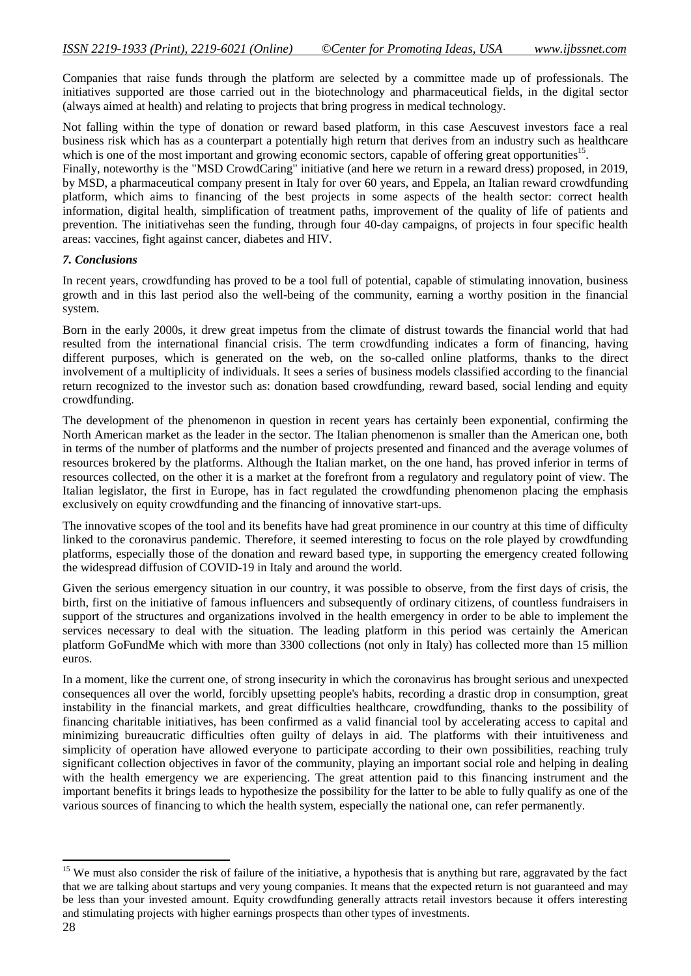Companies that raise funds through the platform are selected by a committee made up of professionals. The initiatives supported are those carried out in the biotechnology and pharmaceutical fields, in the digital sector (always aimed at health) and relating to projects that bring progress in medical technology.

Not falling within the type of donation or reward based platform, in this case Aescuvest investors face a real business risk which has as a counterpart a potentially high return that derives from an industry such as healthcare which is one of the most important and growing economic sectors, capable of offering great opportunities<sup>15</sup>.

Finally, noteworthy is the "MSD CrowdCaring" initiative (and here we return in a reward dress) proposed, in 2019, by MSD, a pharmaceutical company present in Italy for over 60 years, and Eppela, an Italian reward crowdfunding platform, which aims to financing of the best projects in some aspects of the health sector: correct health information, digital health, simplification of treatment paths, improvement of the quality of life of patients and prevention. The initiativehas seen the funding, through four 40-day campaigns, of projects in four specific health areas: vaccines, fight against cancer, diabetes and HIV.

#### *7. Conclusions*

In recent years, crowdfunding has proved to be a tool full of potential, capable of stimulating innovation, business growth and in this last period also the well-being of the community, earning a worthy position in the financial system.

Born in the early 2000s, it drew great impetus from the climate of distrust towards the financial world that had resulted from the international financial crisis. The term crowdfunding indicates a form of financing, having different purposes, which is generated on the web, on the so-called online platforms, thanks to the direct involvement of a multiplicity of individuals. It sees a series of business models classified according to the financial return recognized to the investor such as: donation based crowdfunding, reward based, social lending and equity crowdfunding.

The development of the phenomenon in question in recent years has certainly been exponential, confirming the North American market as the leader in the sector. The Italian phenomenon is smaller than the American one, both in terms of the number of platforms and the number of projects presented and financed and the average volumes of resources brokered by the platforms. Although the Italian market, on the one hand, has proved inferior in terms of resources collected, on the other it is a market at the forefront from a regulatory and regulatory point of view. The Italian legislator, the first in Europe, has in fact regulated the crowdfunding phenomenon placing the emphasis exclusively on equity crowdfunding and the financing of innovative start-ups.

The innovative scopes of the tool and its benefits have had great prominence in our country at this time of difficulty linked to the coronavirus pandemic. Therefore, it seemed interesting to focus on the role played by crowdfunding platforms, especially those of the donation and reward based type, in supporting the emergency created following the widespread diffusion of COVID-19 in Italy and around the world.

Given the serious emergency situation in our country, it was possible to observe, from the first days of crisis, the birth, first on the initiative of famous influencers and subsequently of ordinary citizens, of countless fundraisers in support of the structures and organizations involved in the health emergency in order to be able to implement the services necessary to deal with the situation. The leading platform in this period was certainly the American platform GoFundMe which with more than 3300 collections (not only in Italy) has collected more than 15 million euros.

In a moment, like the current one, of strong insecurity in which the coronavirus has brought serious and unexpected consequences all over the world, forcibly upsetting people's habits, recording a drastic drop in consumption, great instability in the financial markets, and great difficulties healthcare, crowdfunding, thanks to the possibility of financing charitable initiatives, has been confirmed as a valid financial tool by accelerating access to capital and minimizing bureaucratic difficulties often guilty of delays in aid. The platforms with their intuitiveness and simplicity of operation have allowed everyone to participate according to their own possibilities, reaching truly significant collection objectives in favor of the community, playing an important social role and helping in dealing with the health emergency we are experiencing. The great attention paid to this financing instrument and the important benefits it brings leads to hypothesize the possibility for the latter to be able to fully qualify as one of the various sources of financing to which the health system, especially the national one, can refer permanently.

1

<sup>&</sup>lt;sup>15</sup> We must also consider the risk of failure of the initiative, a hypothesis that is anything but rare, aggravated by the fact that we are talking about startups and very young companies. It means that the expected return is not guaranteed and may be less than your invested amount. Equity crowdfunding generally attracts retail investors because it offers interesting and stimulating projects with higher earnings prospects than other types of investments.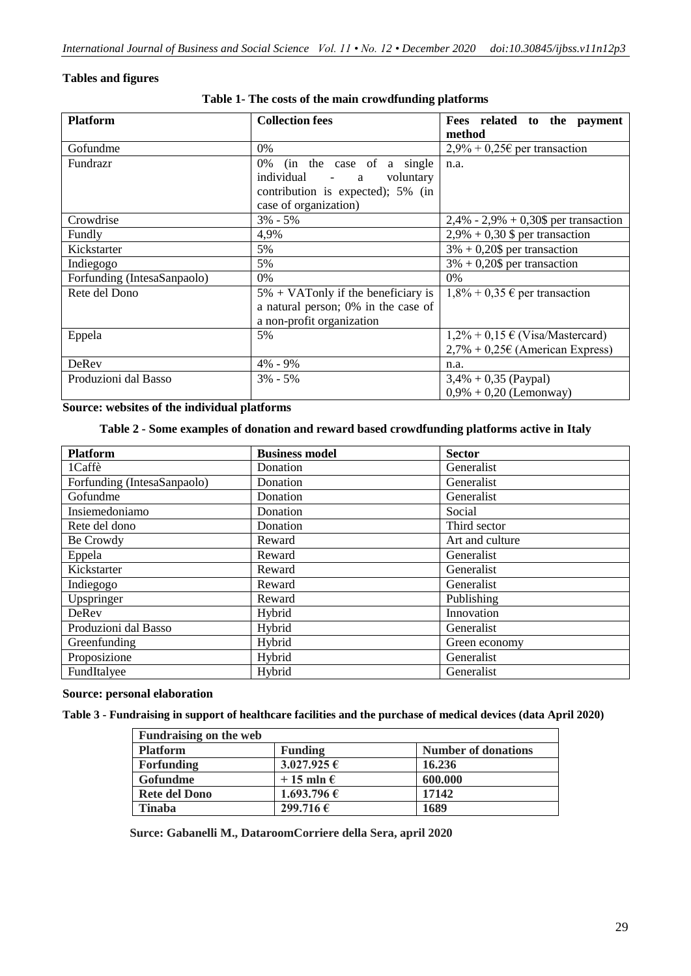## **Tables and figures**

| <b>Platform</b>             | <b>Collection fees</b>                       |                                          |
|-----------------------------|----------------------------------------------|------------------------------------------|
|                             |                                              | Fees related to the payment              |
|                             |                                              | method                                   |
| Gofundme                    | $0\%$                                        | $2,9\% + 0,25\epsilon$ per transaction   |
| Fundrazr                    | (in the case of a single<br>0%               | n.a.                                     |
|                             | individual -<br>voluntary<br>a               |                                          |
|                             | contribution is expected); 5% (in            |                                          |
|                             | case of organization)                        |                                          |
| Crowdrise                   | $3\% - 5\%$                                  | $2,4\%$ - 2,9% + 0,30\$ per transaction  |
| Fundly                      | 4,9%                                         | $2,9\% + 0,30$ \$ per transaction        |
| Kickstarter                 | 5%                                           | $3\% + 0,20\$ per transaction            |
| Indiegogo                   | 5%                                           | $3\% + 0,20\$ per transaction            |
| Forfunding (IntesaSanpaolo) | $0\%$                                        | $0\%$                                    |
| Rete del Dono               | $5\% + \text{VATonly}$ if the beneficiary is | $1,8\% + 0,35 \in$ per transaction       |
|                             | a natural person; 0% in the case of          |                                          |
|                             | a non-profit organization                    |                                          |
| Eppela                      | 5%                                           | $1,2\% + 0,15 \in (Visa/Mastercard)$     |
|                             |                                              | $2,7% + 0,25\epsilon$ (American Express) |
| DeRev                       | 4% - 9%                                      | n.a.                                     |
| Produzioni dal Basso        | $3\% - 5\%$                                  | $3,4\% + 0,35$ (Paypal)                  |
|                             |                                              | $0,9% + 0,20$ (Lemonway)                 |

**Table 1- The costs of the main crowdfunding platforms**

**Source: websites of the individual platforms**

## **Table 2 - Some examples of donation and reward based crowdfunding platforms active in Italy**

| <b>Platform</b>             | <b>Business model</b> | <b>Sector</b>   |
|-----------------------------|-----------------------|-----------------|
| 1Caffè                      | Donation              | Generalist      |
| Forfunding (IntesaSanpaolo) | Donation              | Generalist      |
| Gofundme                    | Donation              | Generalist      |
| Insiemedoniamo              | Donation              | Social          |
| Rete del dono               | Donation              | Third sector    |
| Be Crowdy                   | Reward                | Art and culture |
| Eppela                      | Reward                | Generalist      |
| Kickstarter                 | Reward                | Generalist      |
| Indiegogo                   | Reward                | Generalist      |
| Upspringer                  | Reward                | Publishing      |
| DeRev                       | Hybrid                | Innovation      |
| Produzioni dal Basso        | Hybrid                | Generalist      |
| Greenfunding                | Hybrid                | Green economy   |
| Proposizione                | Hybrid                | Generalist      |
| FundItalyee                 | Hybrid                | Generalist      |

#### **Source: personal elaboration**

**Table 3 - Fundraising in support of healthcare facilities and the purchase of medical devices (data April 2020)**

| <b>Fundraising on the web</b> |                      |                            |
|-------------------------------|----------------------|----------------------------|
| <b>Platform</b>               | <b>Funding</b>       | <b>Number of donations</b> |
| Forfunding                    | $3.027.925 \in$      | 16.236                     |
| Gofundme                      | $+15$ mln $\epsilon$ | 600.000                    |
| <b>Rete del Dono</b>          | 1.693.796 €          | 17142                      |
| <b>Tinaba</b>                 | 299.716 €            | 1689                       |

 **Surce: Gabanelli M., DataroomCorriere della Sera, april 2020**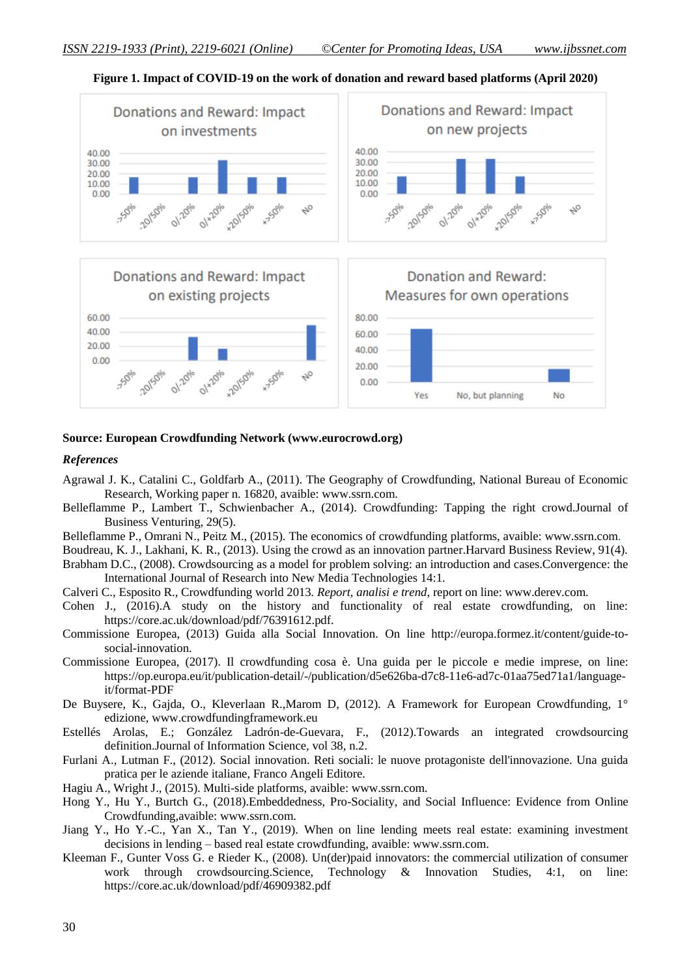

**Figure 1. Impact of COVID-19 on the work of donation and reward based platforms (April 2020)**

#### **Source: European Crowdfunding Network (www.eurocrowd.org)**

#### *References*

- Agrawal J. K., Catalini C., Goldfarb A., (2011). The Geography of Crowdfunding, National Bureau of Economic Research, Working paper n. 16820, avaible: www.ssrn.com.
- Belleflamme P., Lambert T., Schwienbacher A., (2014). Crowdfunding: Tapping the right crowd.Journal of Business Venturing*,* 29(5).
- Belleflamme P., Omrani N., Peitz M., (2015). The economics of crowdfunding platforms, avaible: www.ssrn.com.
- Boudreau, K. J., Lakhani, K. R., (2013). Using the crowd as an innovation partner.Harvard Business Review, 91(4).
- Brabham D.C., (2008). Crowdsourcing as a model for problem solving: an introduction and cases.Convergence: the International Journal of Research into New Media Technologies 14:1.
- Calveri C., Esposito R., Crowdfunding world 2013*. Report, analisi e trend*, report on line: www.derev.com.
- Cohen J., (2016).A study on the history and functionality of real estate crowdfunding, on line: https://core.ac.uk/download/pdf/76391612.pdf.
- Commissione Europea, (2013) Guida alla Social Innovation. On line http://europa.formez.it/content/guide-tosocial-innovation.
- Commissione Europea, (2017). Il crowdfunding cosa è. Una guida per le piccole e medie imprese, on line: https://op.europa.eu/it/publication-detail/-/publication/d5e626ba-d7c8-11e6-ad7c-01aa75ed71a1/languageit/format-PDF
- De Buysere, K., Gajda, O., Kleverlaan R.,Marom D, (2012). A Framework for European Crowdfunding, 1° edizione, www.crowdfundingframework.eu
- Estellés Arolas, E.; González Ladrón-de-Guevara, F., (2012).Towards an integrated crowdsourcing definition.Journal of Information Science*,* vol 38, n.2.
- Furlani A., Lutman F., (2012). Social innovation. Reti sociali: le nuove protagoniste dell'innovazione. Una guida pratica per le aziende italiane, Franco Angeli Editore.
- Hagiu A., Wright J., (2015). Multi-side platforms, avaible: www.ssrn.com.
- Hong Y., Hu Y., Burtch G., (2018).Embeddedness, Pro-Sociality, and Social Influence: Evidence from Online Crowdfunding*,*avaible: www.ssrn.com.
- Jiang Y., Ho Y.-C., Yan X., Tan Y., (2019). When on line lending meets real estate: examining investment decisions in lending – based real estate crowdfunding, avaible: www.ssrn.com.
- Kleeman F., Gunter Voss G. e Rieder K., (2008). Un(der)paid innovators: the commercial utilization of consumer work through crowdsourcing.Science, Technology & Innovation Studies, 4:1, on line: https://core.ac.uk/download/pdf/46909382.pdf